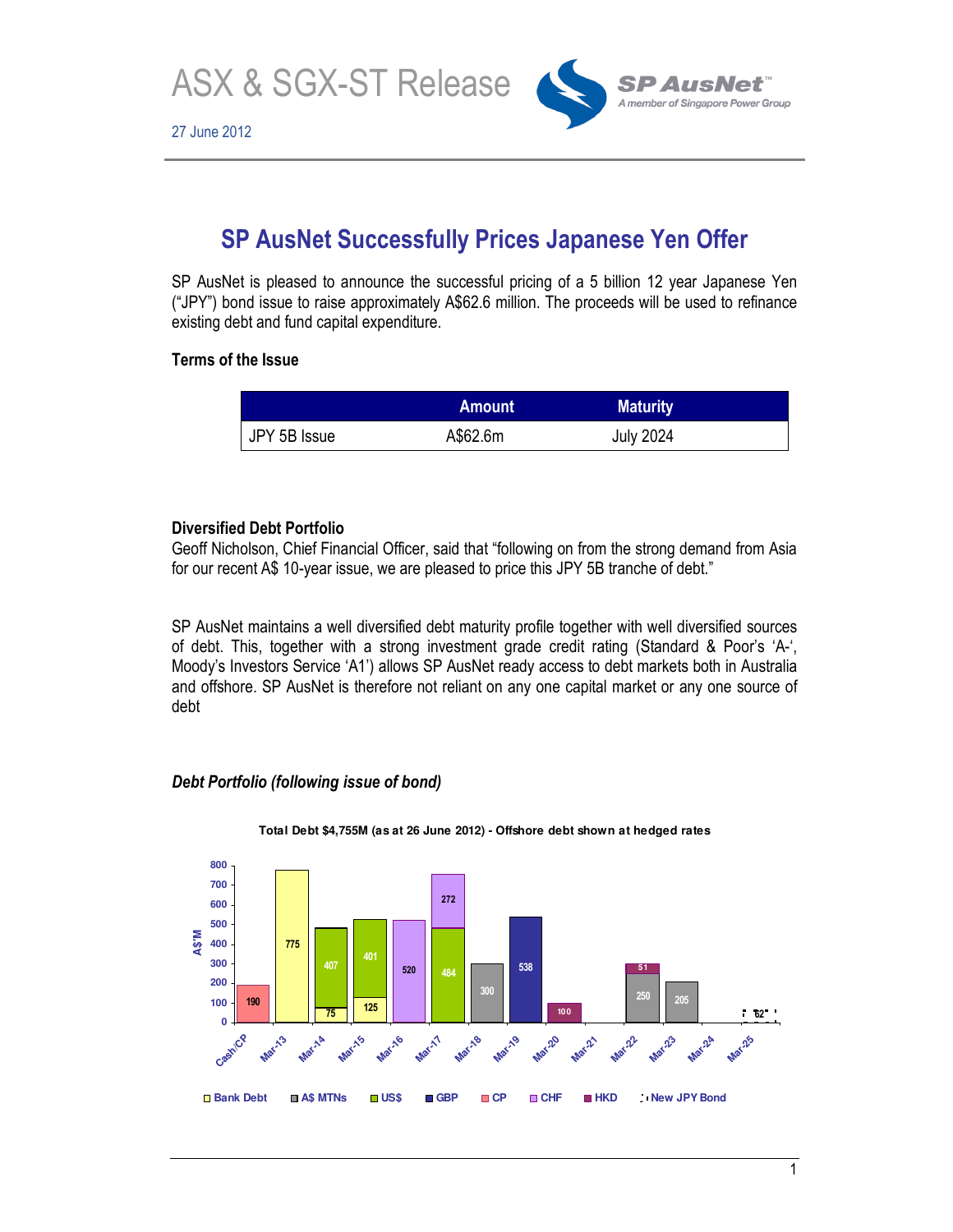ASX & SGX-ST Release



# **SP AusNet Successfully Prices Japanese Yen Offer**

SP AusNet is pleased to announce the successful pricing of a 5 billion 12 year Japanese Yen ("JPY") bond issue to raise approximately A\$62.6 million. The proceeds will be used to refinance existing debt and fund capital expenditure.

## **Terms of the Issue**

|              | <b>Amount</b> | <b>Maturity</b>  |  |
|--------------|---------------|------------------|--|
| JPY 5B Issue | A\$62.6m      | <b>July 2024</b> |  |

## **Diversified Debt Portfolio**

Geoff Nicholson, Chief Financial Officer, said that "following on from the strong demand from Asia for our recent A\$ 10-year issue, we are pleased to price this JPY 5B tranche of debt."

SP AusNet maintains a well diversified debt maturity profile together with well diversified sources of debt. This, together with a strong investment grade credit rating (Standard & Poor's 'A-', Moody's Investors Service 'A1') allows SP AusNet ready access to debt markets both in Australia and offshore. SP AusNet is therefore not reliant on any one capital market or any one source of debt

## *Debt Portfolio (following issue of bond)*



**Total Debt \$4,755M (as at 26 June 2012) - Offshore debt shown at hedged rates**